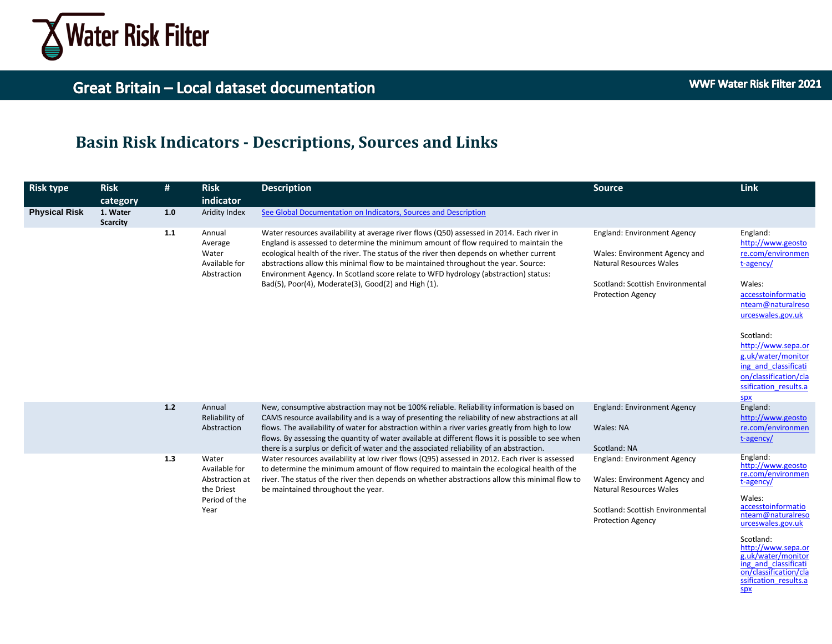

http://www.sepa.or g.uk/water/monitor ing and classificati on/classification/cla ssification\_results.a

spx

# **Basin Risk Indicators - Descriptions, Sources and Links**

| <b>Risk type</b>     | <b>Risk</b><br>category     | #     | <b>Risk</b><br>indicator                                                        | <b>Description</b>                                                                                                                                                                                                                                                                                                                                                                                                                                                                                               | <b>Source</b>                                                                                                                                                         | Link                                                                                                                                                                                                                                                                                       |
|----------------------|-----------------------------|-------|---------------------------------------------------------------------------------|------------------------------------------------------------------------------------------------------------------------------------------------------------------------------------------------------------------------------------------------------------------------------------------------------------------------------------------------------------------------------------------------------------------------------------------------------------------------------------------------------------------|-----------------------------------------------------------------------------------------------------------------------------------------------------------------------|--------------------------------------------------------------------------------------------------------------------------------------------------------------------------------------------------------------------------------------------------------------------------------------------|
| <b>Physical Risk</b> | 1. Water<br><b>Scarcity</b> | 1.0   | Aridity Index                                                                   | See Global Documentation on Indicators, Sources and Description                                                                                                                                                                                                                                                                                                                                                                                                                                                  |                                                                                                                                                                       |                                                                                                                                                                                                                                                                                            |
|                      |                             | 1.1   | Annual<br>Average<br>Water<br>Available for<br>Abstraction                      | Water resources availability at average river flows (Q50) assessed in 2014. Each river in<br>England is assessed to determine the minimum amount of flow required to maintain the<br>ecological health of the river. The status of the river then depends on whether current<br>abstractions allow this minimal flow to be maintained throughout the year. Source:<br>Environment Agency. In Scotland score relate to WFD hydrology (abstraction) status:<br>Bad(5), Poor(4), Moderate(3), Good(2) and High (1). | <b>England: Environment Agency</b><br>Wales: Environment Agency and<br><b>Natural Resources Wales</b><br>Scotland: Scottish Environmental<br><b>Protection Agency</b> | England:<br>http://www.geosto<br>re.com/environmen<br>t-agency/<br>Wales:<br>accesstoinformatio<br>nteam@naturalreso<br>urceswales.gov.uk<br>Scotland:<br>http://www.sepa.or<br>g.uk/water/monitor<br>ing and classificati<br>on/classification/cla<br>ssification results.a<br><b>SDX</b> |
|                      |                             | $1.2$ | Annual<br>Reliability of<br>Abstraction                                         | New, consumptive abstraction may not be 100% reliable. Reliability information is based on<br>CAMS resource availability and is a way of presenting the reliability of new abstractions at all<br>flows. The availability of water for abstraction within a river varies greatly from high to low<br>flows. By assessing the quantity of water available at different flows it is possible to see when<br>there is a surplus or deficit of water and the associated reliability of an abstraction.               | <b>England: Environment Agency</b><br>Wales: NA<br>Scotland: NA                                                                                                       | England:<br>http://www.geosto<br>re.com/environmen<br>t-agency/                                                                                                                                                                                                                            |
|                      |                             | 1.3   | Water<br>Available for<br>Abstraction at<br>the Driest<br>Period of the<br>Year | Water resources availability at low river flows (Q95) assessed in 2012. Each river is assessed<br>to determine the minimum amount of flow required to maintain the ecological health of the<br>river. The status of the river then depends on whether abstractions allow this minimal flow to<br>be maintained throughout the year.                                                                                                                                                                              | <b>England: Environment Agency</b><br>Wales: Environment Agency and<br><b>Natural Resources Wales</b><br>Scotland: Scottish Environmental<br><b>Protection Agency</b> | England:<br>http://www.geosto<br>re.com/environmen<br>t-agency/<br>Wales:<br>accesstoinformatio<br>nteam@naturalreso<br>urceswales.gov.uk<br>Scotland:                                                                                                                                     |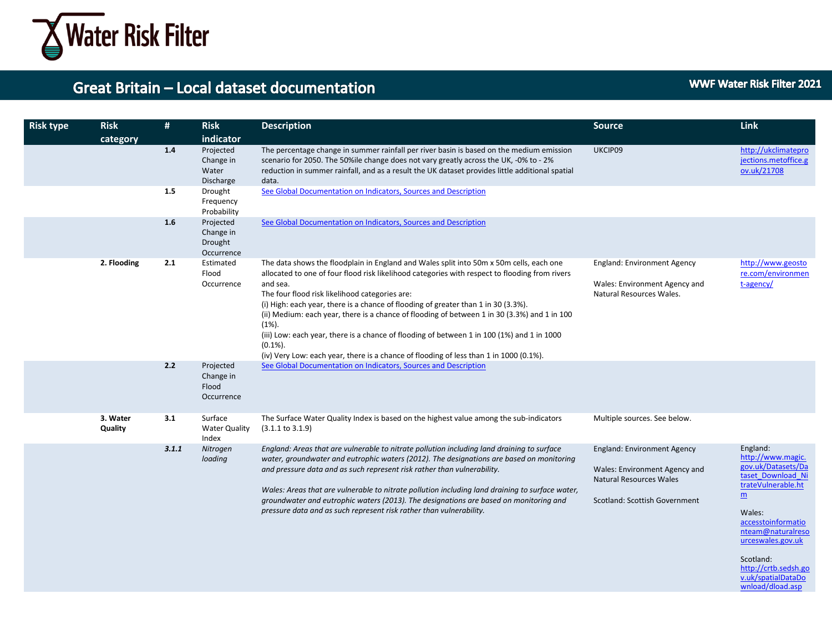

| <b>Risk type</b> | <b>Risk</b>         | #     | <b>Risk</b>                                     | <b>Description</b>                                                                                                                                                                                                                                                                                                                                                                                                                                                                                                                                                                                                                                                | <b>Source</b>                                                                                                                          | <b>Link</b>                                                                                                                                                                                                                                                                |
|------------------|---------------------|-------|-------------------------------------------------|-------------------------------------------------------------------------------------------------------------------------------------------------------------------------------------------------------------------------------------------------------------------------------------------------------------------------------------------------------------------------------------------------------------------------------------------------------------------------------------------------------------------------------------------------------------------------------------------------------------------------------------------------------------------|----------------------------------------------------------------------------------------------------------------------------------------|----------------------------------------------------------------------------------------------------------------------------------------------------------------------------------------------------------------------------------------------------------------------------|
|                  | category            |       | indicator                                       |                                                                                                                                                                                                                                                                                                                                                                                                                                                                                                                                                                                                                                                                   |                                                                                                                                        |                                                                                                                                                                                                                                                                            |
|                  |                     | 1.4   | Projected<br>Change in<br>Water<br>Discharge    | The percentage change in summer rainfall per river basin is based on the medium emission<br>scenario for 2050. The 50%ile change does not vary greatly across the UK, -0% to - 2%<br>reduction in summer rainfall, and as a result the UK dataset provides little additional spatial<br>data.                                                                                                                                                                                                                                                                                                                                                                     | UKCIP09                                                                                                                                | http://ukclimatepro<br>jections.metoffice.g<br>ov.uk/21708                                                                                                                                                                                                                 |
|                  |                     | 1.5   | Drought<br>Frequency<br>Probability             | See Global Documentation on Indicators, Sources and Description                                                                                                                                                                                                                                                                                                                                                                                                                                                                                                                                                                                                   |                                                                                                                                        |                                                                                                                                                                                                                                                                            |
|                  |                     | 1.6   | Projected<br>Change in<br>Drought<br>Occurrence | See Global Documentation on Indicators, Sources and Description                                                                                                                                                                                                                                                                                                                                                                                                                                                                                                                                                                                                   |                                                                                                                                        |                                                                                                                                                                                                                                                                            |
|                  | 2. Flooding         | 2.1   | Estimated<br>Flood<br>Occurrence                | The data shows the floodplain in England and Wales split into 50m x 50m cells, each one<br>allocated to one of four flood risk likelihood categories with respect to flooding from rivers<br>and sea.<br>The four flood risk likelihood categories are:<br>(i) High: each year, there is a chance of flooding of greater than 1 in 30 (3.3%).<br>(ii) Medium: each year, there is a chance of flooding of between 1 in 30 (3.3%) and 1 in 100<br>$(1\%)$ .<br>(iii) Low: each year, there is a chance of flooding of between 1 in 100 (1%) and 1 in 1000<br>$(0.1\%)$ .<br>(iv) Very Low: each year, there is a chance of flooding of less than 1 in 1000 (0.1%). | <b>England: Environment Agency</b><br>Wales: Environment Agency and<br>Natural Resources Wales.                                        | http://www.geosto<br>re.com/environmen<br>t-agency/                                                                                                                                                                                                                        |
|                  |                     | 2.2   | Projected<br>Change in<br>Flood<br>Occurrence   | See Global Documentation on Indicators, Sources and Description                                                                                                                                                                                                                                                                                                                                                                                                                                                                                                                                                                                                   |                                                                                                                                        |                                                                                                                                                                                                                                                                            |
|                  | 3. Water<br>Quality | 3.1   | Surface<br><b>Water Quality</b><br>Index        | The Surface Water Quality Index is based on the highest value among the sub-indicators<br>$(3.1.1 \text{ to } 3.1.9)$                                                                                                                                                                                                                                                                                                                                                                                                                                                                                                                                             | Multiple sources. See below.                                                                                                           |                                                                                                                                                                                                                                                                            |
|                  |                     | 3.1.1 | Nitrogen<br>loading                             | England: Areas that are vulnerable to nitrate pollution including land draining to surface<br>water, groundwater and eutrophic waters (2012). The designations are based on monitoring<br>and pressure data and as such represent risk rather than vulnerability.<br>Wales: Areas that are vulnerable to nitrate pollution including land draining to surface water,<br>groundwater and eutrophic waters (2013). The designations are based on monitoring and<br>pressure data and as such represent risk rather than vulnerability.                                                                                                                              | <b>England: Environment Agency</b><br>Wales: Environment Agency and<br><b>Natural Resources Wales</b><br>Scotland: Scottish Government | England:<br>http://www.magic.<br>gov.uk/Datasets/Da<br>taset Download Ni<br>trateVulnerable.ht<br>$\underline{m}$<br>Wales:<br>accesstoinformatio<br>nteam@naturalreso<br>urceswales.gov.uk<br>Scotland:<br>http://crtb.sedsh.go<br>v.uk/spatialDataDo<br>wnload/dload.asp |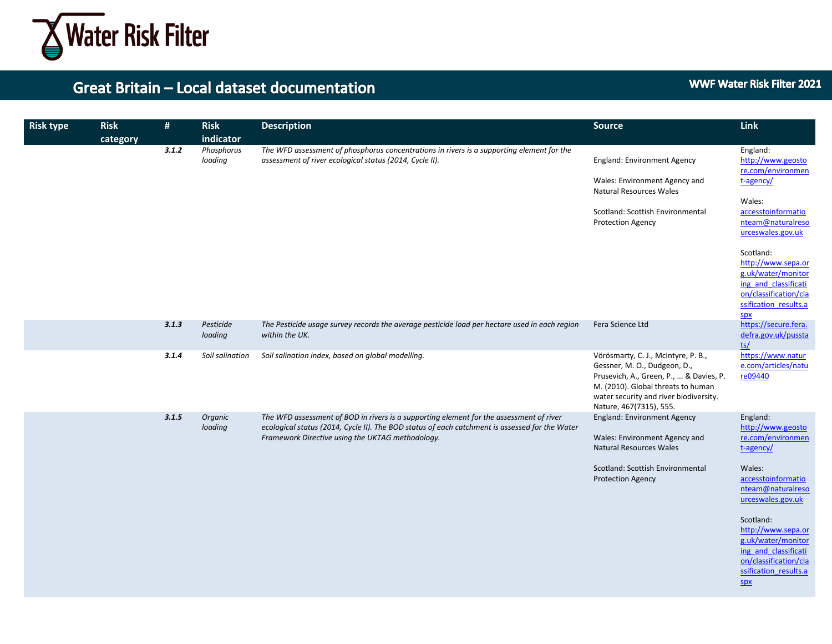

| <b>Risk type</b> | <b>Risk</b><br>category | #     | <b>Risk</b><br>indicator | <b>Description</b>                                                                                                                                                                                                                            | <b>Source</b>                                                                                                                                                                                                             | Link                                                                                                                                                                                                                                                                                       |
|------------------|-------------------------|-------|--------------------------|-----------------------------------------------------------------------------------------------------------------------------------------------------------------------------------------------------------------------------------------------|---------------------------------------------------------------------------------------------------------------------------------------------------------------------------------------------------------------------------|--------------------------------------------------------------------------------------------------------------------------------------------------------------------------------------------------------------------------------------------------------------------------------------------|
|                  |                         | 3.1.2 | Phosphorus<br>loading    | The WFD assessment of phosphorus concentrations in rivers is a supporting element for the<br>assessment of river ecological status (2014, Cycle II).                                                                                          | <b>England: Environment Agency</b><br>Wales: Environment Agency and<br>Natural Resources Wales<br>Scotland: Scottish Environmental<br><b>Protection Agency</b>                                                            | England:<br>http://www.geosto<br>re.com/environmen<br>t-agency/<br>Wales:<br>accesstoinformatio<br>nteam@naturalreso<br>urceswales.gov.uk<br>Scotland:<br>http://www.sepa.or<br>g.uk/water/monitor<br>ing and classificati<br>on/classification/cla<br>ssification results.a<br><b>SDX</b> |
|                  |                         | 3.1.3 | Pesticide<br>loading     | The Pesticide usage survey records the average pesticide load per hectare used in each region<br>within the UK.                                                                                                                               | Fera Science Ltd                                                                                                                                                                                                          | https://secure.fera.<br>defra.gov.uk/pussta<br>ts/                                                                                                                                                                                                                                         |
|                  |                         | 3.1.4 | Soil salination          | Soil salination index, based on global modelling.                                                                                                                                                                                             | Vörösmarty, C. J., McIntyre, P. B.,<br>Gessner, M. O., Dudgeon, D.,<br>Prusevich, A., Green, P.,  & Davies, P.<br>M. (2010). Global threats to human<br>water security and river biodiversity.<br>Nature, 467(7315), 555. | https://www.natur<br>e.com/articles/natu<br>re09440                                                                                                                                                                                                                                        |
|                  |                         | 3.1.5 | Organic<br>loading       | The WFD assessment of BOD in rivers is a supporting element for the assessment of river<br>ecological status (2014, Cycle II). The BOD status of each catchment is assessed for the Water<br>Framework Directive using the UKTAG methodology. | <b>England: Environment Agency</b><br>Wales: Environment Agency and<br><b>Natural Resources Wales</b><br>Scotland: Scottish Environmental<br><b>Protection Agency</b>                                                     | England:<br>http://www.geosto<br>re.com/environmen<br>t-agency/<br>Wales:<br>accesstoinformatio<br>nteam@naturalreso<br>urceswales.gov.uk<br>Scotland:<br>http://www.sepa.or<br>g.uk/water/monitor<br>ing and classificati<br>on/classification/cla<br>ssification results.a<br>SDX        |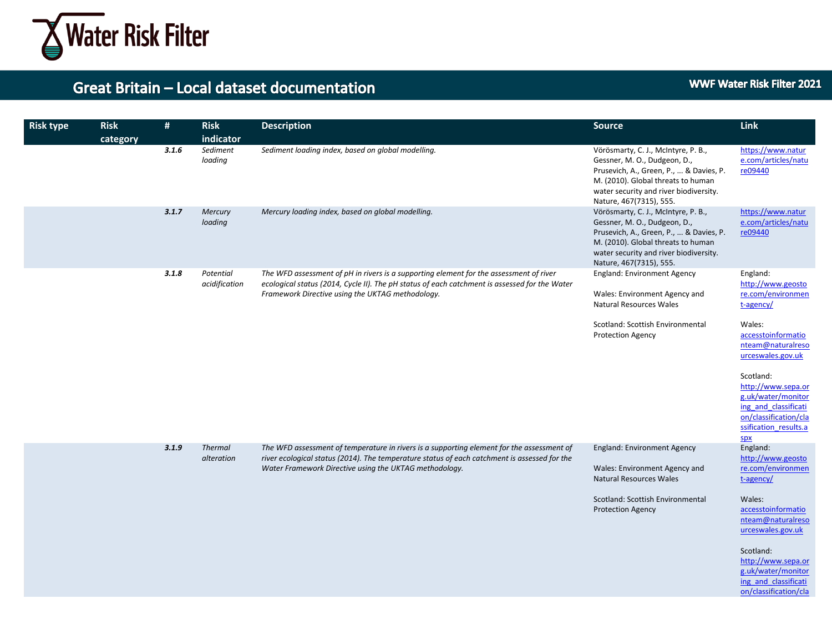

#### **WWF Water Risk Filter 2021**

| <b>Risk type</b> | <b>Risk</b><br>category | #     | <b>Risk</b><br>indicator     | <b>Description</b>                                                                                                                                                                                                                                  | Source                                                                                                                                                                                                                    | Link                                                                                                                                                                                                                                                                         |
|------------------|-------------------------|-------|------------------------------|-----------------------------------------------------------------------------------------------------------------------------------------------------------------------------------------------------------------------------------------------------|---------------------------------------------------------------------------------------------------------------------------------------------------------------------------------------------------------------------------|------------------------------------------------------------------------------------------------------------------------------------------------------------------------------------------------------------------------------------------------------------------------------|
|                  |                         | 3.1.6 | Sediment<br>loading          | Sediment loading index, based on global modelling.                                                                                                                                                                                                  | Vörösmarty, C. J., McIntyre, P. B.,<br>Gessner, M. O., Dudgeon, D.,<br>Prusevich, A., Green, P.,  & Davies, P.<br>M. (2010). Global threats to human<br>water security and river biodiversity.<br>Nature, 467(7315), 555. | https://www.natur<br>e.com/articles/natu<br>re09440                                                                                                                                                                                                                          |
|                  |                         | 3.1.7 | Mercury<br>loading           | Mercury loading index, based on global modelling.                                                                                                                                                                                                   | Vörösmarty, C. J., McIntyre, P. B.,<br>Gessner, M. O., Dudgeon, D.,<br>Prusevich, A., Green, P.,  & Davies, P.<br>M. (2010). Global threats to human<br>water security and river biodiversity.<br>Nature, 467(7315), 555. | https://www.natur<br>e.com/articles/natu<br>re09440                                                                                                                                                                                                                          |
|                  |                         | 3.1.8 | Potential<br>acidification   | The WFD assessment of pH in rivers is a supporting element for the assessment of river<br>ecological status (2014, Cycle II). The pH status of each catchment is assessed for the Water<br>Framework Directive using the UKTAG methodology.         | England: Environment Agency<br>Wales: Environment Agency and<br><b>Natural Resources Wales</b><br>Scotland: Scottish Environmental<br>Protection Agency                                                                   | England:<br>http://www.geosto<br>re.com/environmen<br>t-agency/<br>Wales:<br>accesstoinformatio<br>nteam@naturalreso<br>urceswales.gov.uk<br>Scotland:<br>http://www.sepa.or<br>g.uk/water/monitor<br>ing and classificati<br>on/classification/cla<br>ssification results.a |
|                  |                         | 3.1.9 | <b>Thermal</b><br>alteration | The WFD assessment of temperature in rivers is a supporting element for the assessment of<br>river ecological status (2014). The temperature status of each catchment is assessed for the<br>Water Framework Directive using the UKTAG methodology. | <b>England: Environment Agency</b><br>Wales: Environment Agency and<br><b>Natural Resources Wales</b><br>Scotland: Scottish Environmental<br><b>Protection Agency</b>                                                     | spx<br>England:<br>http://www.geosto<br>re.com/environmen<br>t-agency/<br>Wales:<br>accesstoinformatio<br>nteam@naturalreso<br>urceswales.gov.uk<br>Scotland:<br>http://www.sepa.or<br>g.uk/water/monitor<br>ing and classificati<br>on/classification/cla                   |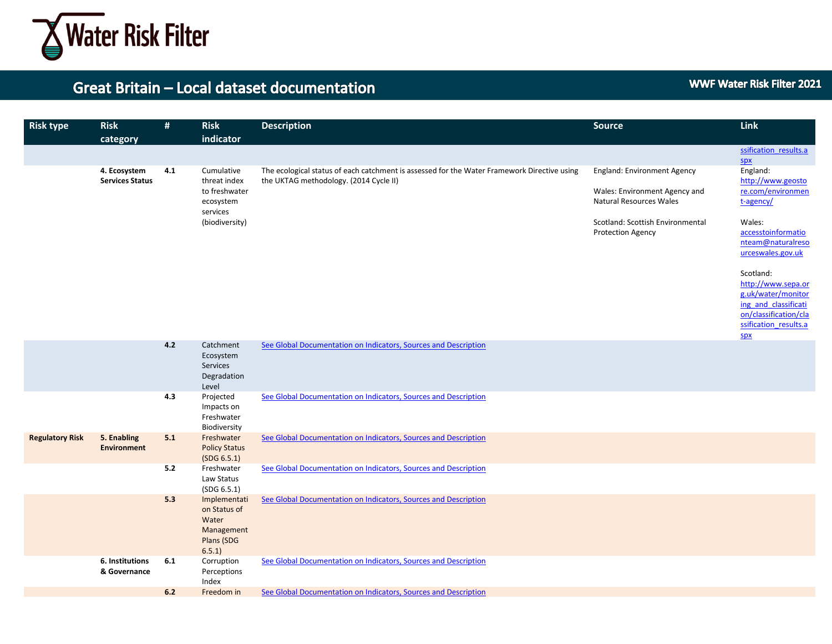

| <b>Risk type</b> | <b>Risk</b><br>category                | #   | <b>Risk</b><br>indicator                                                               | <b>Description</b>                                                                                                                    | <b>Source</b>                                                                                                                                                  | Link                                                                                                                                          |
|------------------|----------------------------------------|-----|----------------------------------------------------------------------------------------|---------------------------------------------------------------------------------------------------------------------------------------|----------------------------------------------------------------------------------------------------------------------------------------------------------------|-----------------------------------------------------------------------------------------------------------------------------------------------|
|                  |                                        |     |                                                                                        |                                                                                                                                       |                                                                                                                                                                | ssification results.a<br><b>SDX</b>                                                                                                           |
|                  | 4. Ecosystem<br><b>Services Status</b> | 4.1 | Cumulative<br>threat index<br>to freshwater<br>ecosystem<br>services<br>(biodiversity) | The ecological status of each catchment is assessed for the Water Framework Directive using<br>the UKTAG methodology. (2014 Cycle II) | <b>England: Environment Agency</b><br>Wales: Environment Agency and<br>Natural Resources Wales<br>Scotland: Scottish Environmental<br><b>Protection Agency</b> | England:<br>http://www.geosto<br>re.com/environmen<br>t-agency/<br>Wales:<br>accesstoinformatio<br>nteam@naturalreso<br>urceswales.gov.uk     |
|                  |                                        |     |                                                                                        |                                                                                                                                       |                                                                                                                                                                | Scotland:<br>http://www.sepa.or<br>g.uk/water/monitor<br>ing and classificati<br>on/classification/cla<br>ssification results.a<br><b>SDX</b> |

|                        |                                   | 4.2<br>Catchment<br>Ecosystem<br>Services<br>Degradation<br>Level                 | See Global Documentation on Indicators, Sources and Description |
|------------------------|-----------------------------------|-----------------------------------------------------------------------------------|-----------------------------------------------------------------|
|                        |                                   | Projected<br>4.3<br>Impacts on<br>Freshwater<br>Biodiversity                      | See Global Documentation on Indicators, Sources and Description |
| <b>Regulatory Risk</b> | 5. Enabling<br><b>Environment</b> | Freshwater<br>5.1<br><b>Policy Status</b><br>(SDG 6.5.1)                          | See Global Documentation on Indicators, Sources and Description |
|                        |                                   | 5.2<br>Freshwater<br>Law Status<br>(SDG 6.5.1)                                    | See Global Documentation on Indicators, Sources and Description |
|                        |                                   | 5.3<br>Implementati<br>on Status of<br>Water<br>Management<br>Plans (SDG<br>6.5.1 | See Global Documentation on Indicators, Sources and Description |
|                        | 6. Institutions<br>& Governance   | 6.1<br>Corruption<br>Perceptions<br>Index                                         | See Global Documentation on Indicators, Sources and Description |
|                        |                                   | 6.2<br>Freedom in                                                                 | See Global Documentation on Indicators, Sources and Description |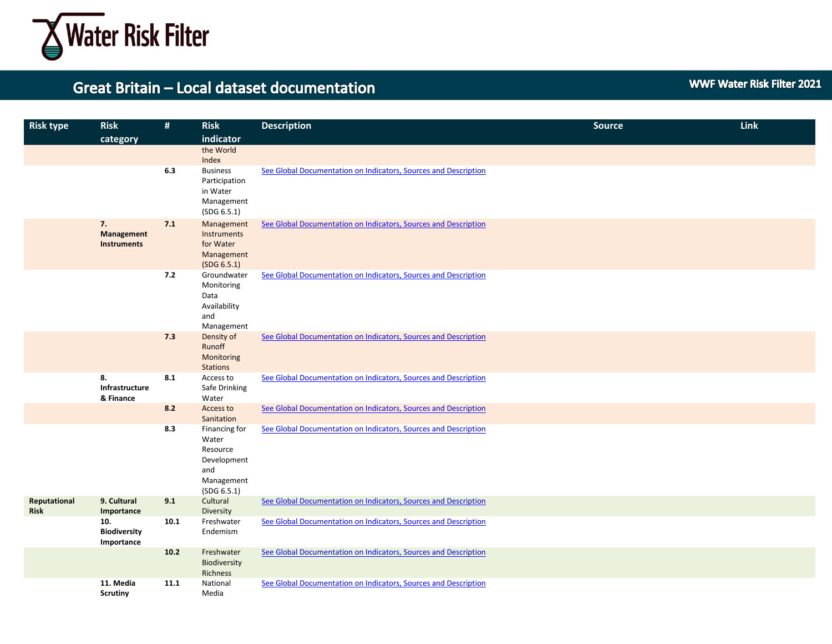

**WWF Water Risk Filter 2021** 

| <b>Risk type</b>            | <b>Risk</b>                              | #    | <b>Risk</b>                                                                           | <b>Description</b>                                              | <b>Source</b> | Link |
|-----------------------------|------------------------------------------|------|---------------------------------------------------------------------------------------|-----------------------------------------------------------------|---------------|------|
|                             | category                                 |      | indicator                                                                             |                                                                 |               |      |
|                             |                                          |      | the World<br>Index                                                                    |                                                                 |               |      |
|                             |                                          | 6.3  | <b>Business</b><br>Participation<br>in Water<br>Management<br>(SDG 6.5.1)             | See Global Documentation on Indicators, Sources and Description |               |      |
|                             | 7.<br>Management<br><b>Instruments</b>   | 7.1  | Management<br>Instruments<br>for Water<br>Management<br>(SDG 6.5.1)                   | See Global Documentation on Indicators, Sources and Description |               |      |
|                             |                                          | 7.2  | Groundwater<br>Monitoring<br>Data<br>Availability<br>and<br>Management                | See Global Documentation on Indicators, Sources and Description |               |      |
|                             |                                          | 7.3  | Density of<br>Runoff<br>Monitoring<br><b>Stations</b>                                 | See Global Documentation on Indicators, Sources and Description |               |      |
|                             | 8.<br>Infrastructure<br>& Finance        | 8.1  | Access to<br>Safe Drinking<br>Water                                                   | See Global Documentation on Indicators, Sources and Description |               |      |
|                             |                                          | 8.2  | Access to<br>Sanitation                                                               | See Global Documentation on Indicators, Sources and Description |               |      |
|                             |                                          | 8.3  | Financing for<br>Water<br>Resource<br>Development<br>and<br>Management<br>(SDG 6.5.1) | See Global Documentation on Indicators, Sources and Description |               |      |
| Reputational<br><b>Risk</b> | 9. Cultural<br>Importance                | 9.1  | Cultural<br>Diversity                                                                 | See Global Documentation on Indicators, Sources and Description |               |      |
|                             | 10.<br><b>Biodiversity</b><br>Importance | 10.1 | Freshwater<br>Endemism                                                                | See Global Documentation on Indicators, Sources and Description |               |      |
|                             |                                          | 10.2 | Freshwater<br>Biodiversity<br>Richness                                                | See Global Documentation on Indicators, Sources and Description |               |      |
|                             | 11. Media<br><b>Scrutiny</b>             | 11.1 | National<br>Media                                                                     | See Global Documentation on Indicators, Sources and Description |               |      |